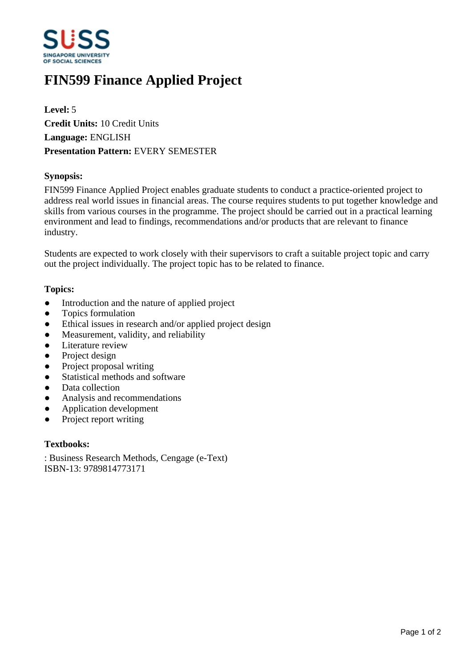

# **FIN599 Finance Applied Project**

**Level:** 5 **Credit Units:** 10 Credit Units **Language:** ENGLISH **Presentation Pattern:** EVERY SEMESTER

## **Synopsis:**

FIN599 Finance Applied Project enables graduate students to conduct a practice-oriented project to address real world issues in financial areas. The course requires students to put together knowledge and skills from various courses in the programme. The project should be carried out in a practical learning environment and lead to findings, recommendations and/or products that are relevant to finance industry.

Students are expected to work closely with their supervisors to craft a suitable project topic and carry out the project individually. The project topic has to be related to finance.

## **Topics:**

- Introduction and the nature of applied project
- Topics formulation
- Ethical issues in research and/or applied project design
- Measurement, validity, and reliability
- Literature review
- Project design
- Project proposal writing
- Statistical methods and software
- Data collection
- Analysis and recommendations
- Application development
- Project report writing

#### **Textbooks:**

: Business Research Methods, Cengage (e-Text) ISBN-13: 9789814773171